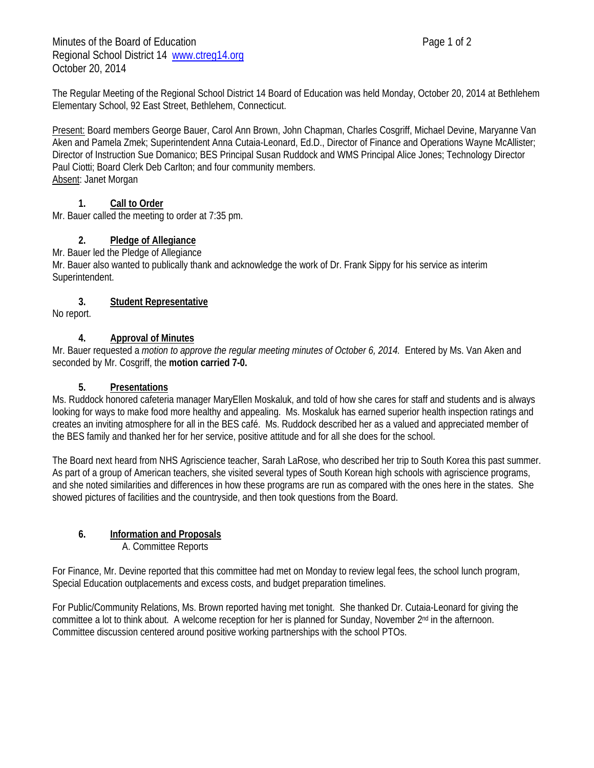Minutes of the Board of Education **Page 1 of 2** and 2 Regional School District 14 www.ctreg14.org October 20, 2014

The Regular Meeting of the Regional School District 14 Board of Education was held Monday, October 20, 2014 at Bethlehem Elementary School, 92 East Street, Bethlehem, Connecticut.

Present: Board members George Bauer, Carol Ann Brown, John Chapman, Charles Cosgriff, Michael Devine, Maryanne Van Aken and Pamela Zmek; Superintendent Anna Cutaia-Leonard, Ed.D., Director of Finance and Operations Wayne McAllister; Director of Instruction Sue Domanico; BES Principal Susan Ruddock and WMS Principal Alice Jones; Technology Director Paul Ciotti; Board Clerk Deb Carlton; and four community members. Absent: Janet Morgan

# **1. Call to Order**

Mr. Bauer called the meeting to order at 7:35 pm.

# **2. Pledge of Allegiance**

Mr. Bauer led the Pledge of Allegiance

Mr. Bauer also wanted to publically thank and acknowledge the work of Dr. Frank Sippy for his service as interim Superintendent.

### **3. Student Representative**

No report.

### **4. Approval of Minutes**

Mr. Bauer requested a *motion to approve the regular meeting minutes of October 6, 2014.* Entered by Ms. Van Aken and seconded by Mr. Cosgriff, the **motion carried 7-0.**

### **5. Presentations**

Ms. Ruddock honored cafeteria manager MaryEllen Moskaluk, and told of how she cares for staff and students and is always looking for ways to make food more healthy and appealing. Ms. Moskaluk has earned superior health inspection ratings and creates an inviting atmosphere for all in the BES café. Ms. Ruddock described her as a valued and appreciated member of the BES family and thanked her for her service, positive attitude and for all she does for the school.

The Board next heard from NHS Agriscience teacher, Sarah LaRose, who described her trip to South Korea this past summer. As part of a group of American teachers, she visited several types of South Korean high schools with agriscience programs, and she noted similarities and differences in how these programs are run as compared with the ones here in the states. She showed pictures of facilities and the countryside, and then took questions from the Board.

# **6. Information and Proposals**

A. Committee Reports

For Finance, Mr. Devine reported that this committee had met on Monday to review legal fees, the school lunch program, Special Education outplacements and excess costs, and budget preparation timelines.

For Public/Community Relations, Ms. Brown reported having met tonight. She thanked Dr. Cutaia-Leonard for giving the committee a lot to think about. A welcome reception for her is planned for Sunday, November  $2<sup>nd</sup>$  in the afternoon. Committee discussion centered around positive working partnerships with the school PTOs.